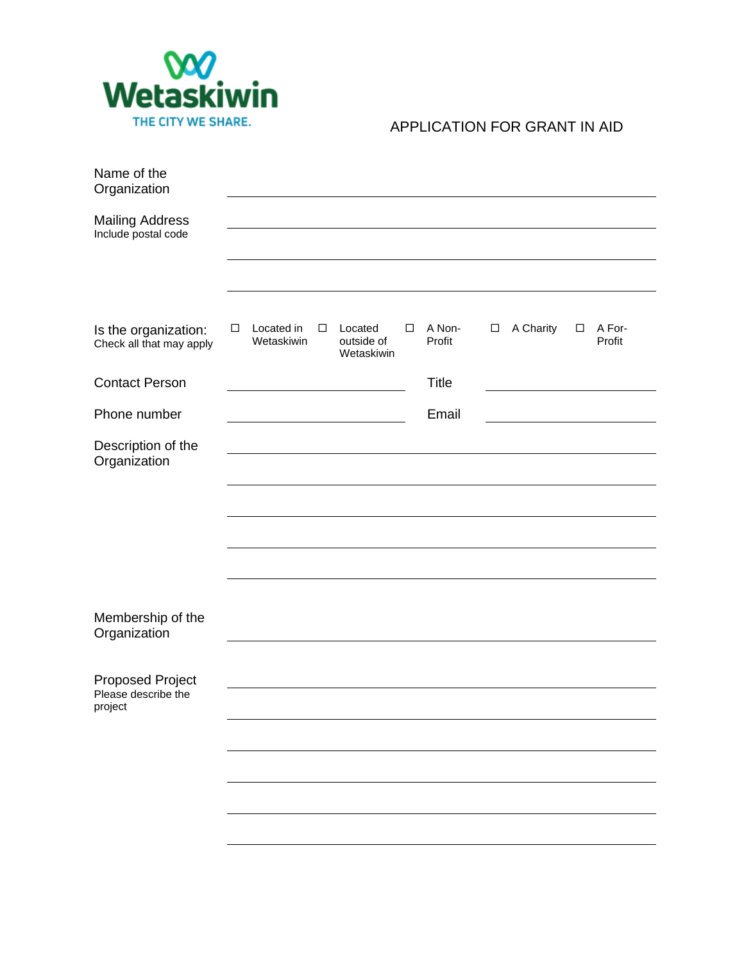

## APPLICATION FOR GRANT IN AID

| Name of the<br>Organization                      |   |                          |        |                                     |   |                  |        |           |        |                  |
|--------------------------------------------------|---|--------------------------|--------|-------------------------------------|---|------------------|--------|-----------|--------|------------------|
| <b>Mailing Address</b><br>Include postal code    |   |                          |        |                                     |   |                  |        |           |        |                  |
|                                                  |   |                          |        |                                     |   |                  |        |           |        |                  |
| Is the organization:<br>Check all that may apply | □ | Located in<br>Wetaskiwin | $\Box$ | Located<br>outside of<br>Wetaskiwin | □ | A Non-<br>Profit | $\Box$ | A Charity | $\Box$ | A For-<br>Profit |
| <b>Contact Person</b>                            |   |                          |        |                                     |   | Title            |        |           |        |                  |
| Phone number                                     |   |                          |        |                                     |   | Email            |        |           |        |                  |
| Description of the<br>Organization               |   |                          |        |                                     |   |                  |        |           |        |                  |
|                                                  |   |                          |        |                                     |   |                  |        |           |        |                  |
|                                                  |   |                          |        |                                     |   |                  |        |           |        |                  |
|                                                  |   |                          |        |                                     |   |                  |        |           |        |                  |
|                                                  |   |                          |        |                                     |   |                  |        |           |        |                  |
| Membership of the<br>Organization                |   |                          |        |                                     |   |                  |        |           |        |                  |
| <b>Proposed Project</b>                          |   |                          |        |                                     |   |                  |        |           |        |                  |
| Please describe the<br>project                   |   |                          |        |                                     |   |                  |        |           |        |                  |
|                                                  |   |                          |        |                                     |   |                  |        |           |        |                  |
|                                                  |   |                          |        |                                     |   |                  |        |           |        |                  |
|                                                  |   |                          |        |                                     |   |                  |        |           |        |                  |
|                                                  |   |                          |        |                                     |   |                  |        |           |        |                  |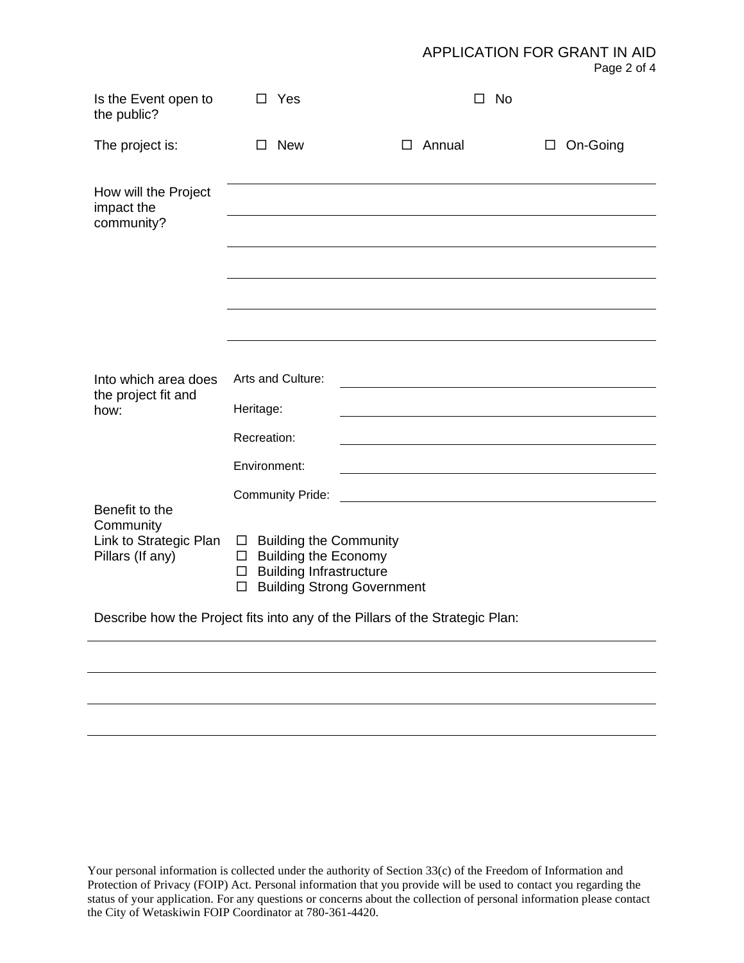APPLICATION FOR GRANT IN AID

|  | שות צוויצו  |  |  |
|--|-------------|--|--|
|  | Page 2 of 4 |  |  |

| Is the Event open to<br>the public?                                          | Yes<br>$\Box$                                                                                                                                                          |               | $\square$ No |                    |  |  |
|------------------------------------------------------------------------------|------------------------------------------------------------------------------------------------------------------------------------------------------------------------|---------------|--------------|--------------------|--|--|
| The project is:                                                              | <b>New</b><br>Π.                                                                                                                                                       | $\Box$ Annual |              | On-Going<br>$\Box$ |  |  |
| How will the Project<br>impact the<br>community?                             |                                                                                                                                                                        |               |              |                    |  |  |
|                                                                              |                                                                                                                                                                        |               |              |                    |  |  |
|                                                                              |                                                                                                                                                                        |               |              |                    |  |  |
|                                                                              |                                                                                                                                                                        |               |              |                    |  |  |
|                                                                              |                                                                                                                                                                        |               |              |                    |  |  |
|                                                                              |                                                                                                                                                                        |               |              |                    |  |  |
| Into which area does                                                         | Arts and Culture:                                                                                                                                                      |               |              |                    |  |  |
| the project fit and<br>how:                                                  | Heritage:                                                                                                                                                              |               |              |                    |  |  |
|                                                                              | Recreation:                                                                                                                                                            |               |              |                    |  |  |
|                                                                              | Environment:                                                                                                                                                           |               |              |                    |  |  |
|                                                                              | <b>Community Pride:</b>                                                                                                                                                |               |              |                    |  |  |
| Benefit to the<br>Community                                                  |                                                                                                                                                                        |               |              |                    |  |  |
| Link to Strategic Plan<br>Pillars (If any)                                   | <b>Building the Community</b><br>$\Box$<br><b>Building the Economy</b><br>□<br><b>Building Infrastructure</b><br>$\Box$<br><b>Building Strong Government</b><br>$\Box$ |               |              |                    |  |  |
| Describe how the Project fits into any of the Pillars of the Strategic Plan: |                                                                                                                                                                        |               |              |                    |  |  |

Your personal information is collected under the authority of Section 33(c) of the Freedom of Information and Protection of Privacy (FOIP) Act. Personal information that you provide will be used to contact you regarding the status of your application. For any questions or concerns about the collection of personal information please contact the City of Wetaskiwin FOIP Coordinator at 780-361-4420.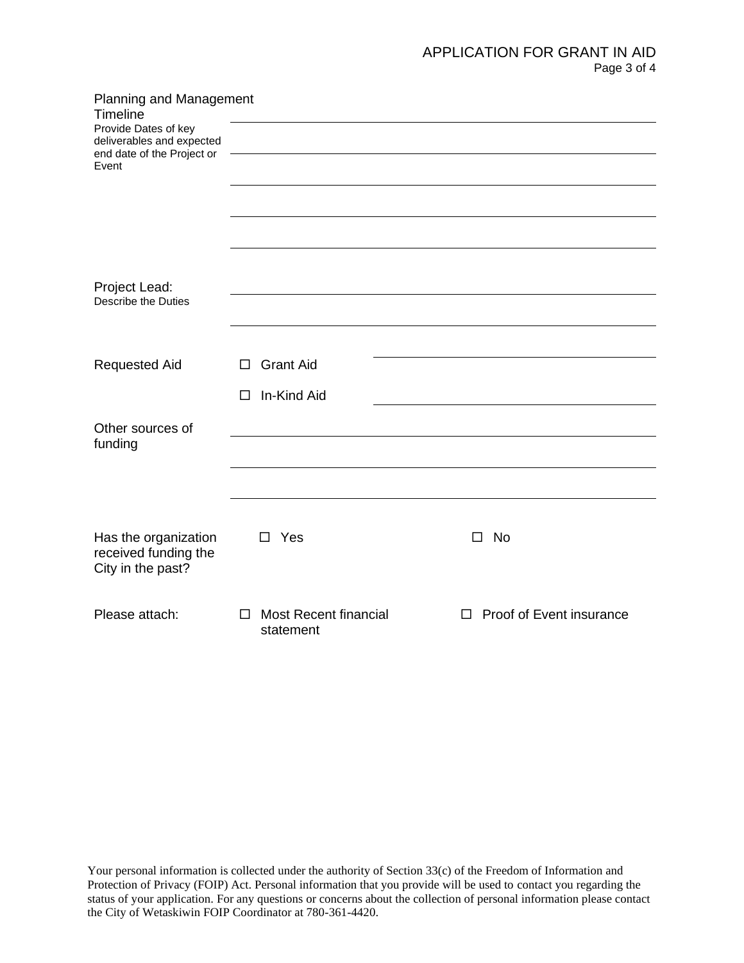## APPLICATION FOR GRANT IN AID Page 3 of 4

| <b>Planning and Management</b><br>Timeline                                      |                                                     |                               |
|---------------------------------------------------------------------------------|-----------------------------------------------------|-------------------------------|
| Provide Dates of key<br>deliverables and expected<br>end date of the Project or |                                                     |                               |
| Event                                                                           |                                                     |                               |
|                                                                                 |                                                     |                               |
|                                                                                 |                                                     |                               |
|                                                                                 |                                                     |                               |
| Project Lead:<br>Describe the Duties                                            |                                                     |                               |
|                                                                                 |                                                     |                               |
| <b>Requested Aid</b>                                                            | <b>Grant Aid</b><br>□                               |                               |
|                                                                                 | In-Kind Aid<br>□                                    |                               |
| Other sources of                                                                |                                                     |                               |
| funding                                                                         |                                                     |                               |
|                                                                                 |                                                     |                               |
|                                                                                 |                                                     |                               |
| Has the organization<br>received funding the<br>City in the past?               | Yes<br>П                                            | $\square$ No                  |
| Please attach:                                                                  | <b>Most Recent financial</b><br>$\Box$<br>statement | Proof of Event insurance<br>П |